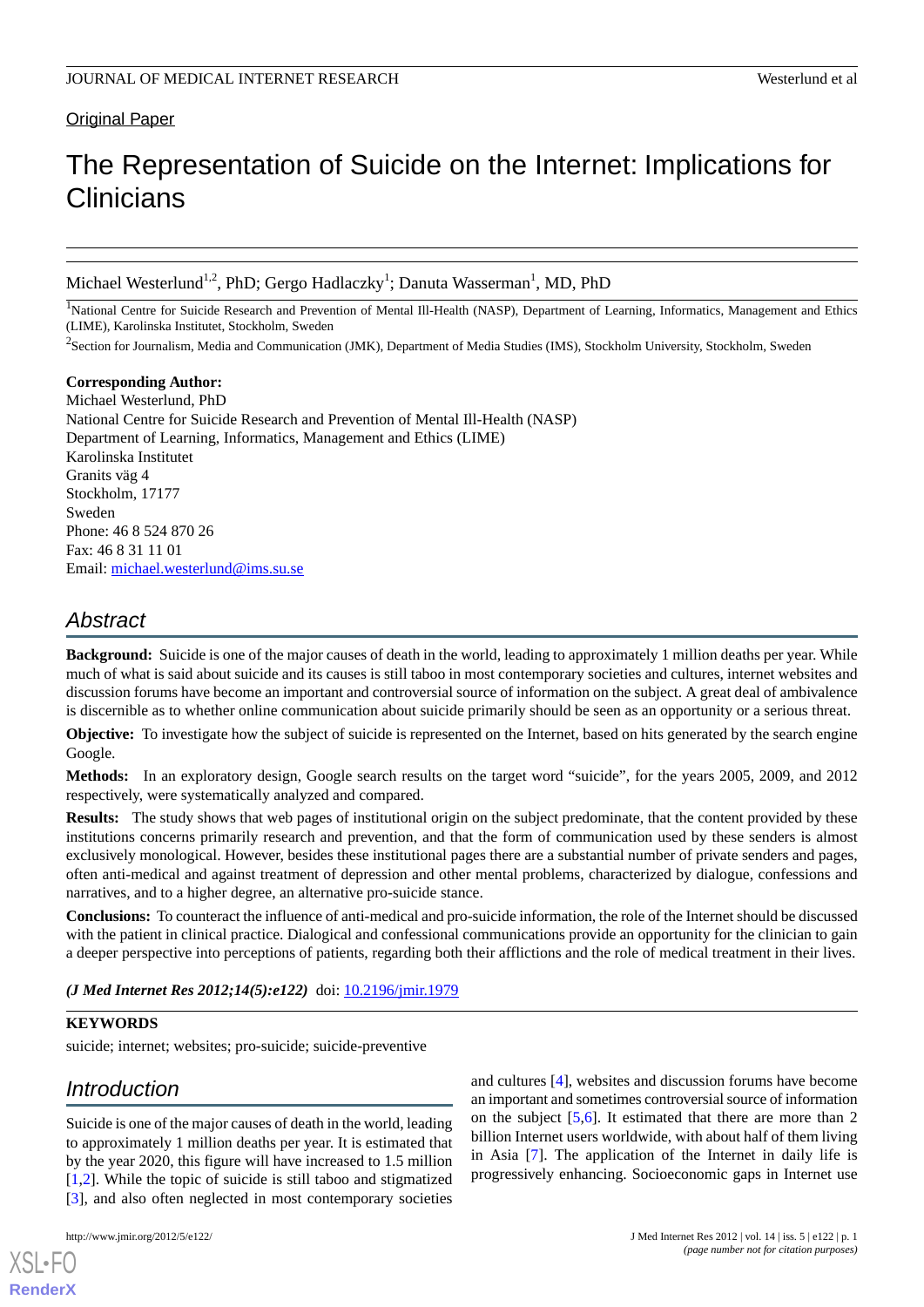# Original Paper

# The Representation of Suicide on the Internet: Implications for **Clinicians**

Michael Westerlund<sup>1,2</sup>, PhD; Gergo Hadlaczky<sup>1</sup>; Danuta Wasserman<sup>1</sup>, MD, PhD

<sup>1</sup>National Centre for Suicide Research and Prevention of Mental Ill-Health (NASP), Department of Learning, Informatics, Management and Ethics (LIME), Karolinska Institutet, Stockholm, Sweden

<sup>2</sup>Section for Journalism, Media and Communication (JMK), Department of Media Studies (IMS), Stockholm University, Stockholm, Sweden

**Corresponding Author:** Michael Westerlund, PhD National Centre for Suicide Research and Prevention of Mental Ill-Health (NASP) Department of Learning, Informatics, Management and Ethics (LIME) Karolinska Institutet Granits väg 4 Stockholm, 17177 Sweden Phone: 46 8 524 870 26 Fax: 46 8 31 11 01 Email: [michael.westerlund@ims.su.se](mailto:michael.westerlund@ims.su.se)

# *Abstract*

**Background:** Suicide is one of the major causes of death in the world, leading to approximately 1 million deaths per year. While much of what is said about suicide and its causes is still taboo in most contemporary societies and cultures, internet websites and discussion forums have become an important and controversial source of information on the subject. A great deal of ambivalence is discernible as to whether online communication about suicide primarily should be seen as an opportunity or a serious threat.

**Objective:** To investigate how the subject of suicide is represented on the Internet, based on hits generated by the search engine Google.

**Methods:** In an exploratory design, Google search results on the target word "suicide", for the years 2005, 2009, and 2012 respectively, were systematically analyzed and compared.

**Results:** The study shows that web pages of institutional origin on the subject predominate, that the content provided by these institutions concerns primarily research and prevention, and that the form of communication used by these senders is almost exclusively monological. However, besides these institutional pages there are a substantial number of private senders and pages, often anti-medical and against treatment of depression and other mental problems, characterized by dialogue, confessions and narratives, and to a higher degree, an alternative pro-suicide stance.

**Conclusions:** To counteract the influence of anti-medical and pro-suicide information, the role of the Internet should be discussed with the patient in clinical practice. Dialogical and confessional communications provide an opportunity for the clinician to gain a deeper perspective into perceptions of patients, regarding both their afflictions and the role of medical treatment in their lives.

*(J Med Internet Res 2012;14(5):e122)* doi: [10.2196/jmir.1979](http://dx.doi.org/10.2196/jmir.1979)

# **KEYWORDS**

suicide; internet; websites; pro-suicide; suicide-preventive

# *Introduction*

Suicide is one of the major causes of death in the world, leading to approximately 1 million deaths per year. It is estimated that by the year 2020, this figure will have increased to 1.5 million [[1](#page-5-0)[,2](#page-5-1)]. While the topic of suicide is still taboo and stigmatized [[3\]](#page-5-2), and also often neglected in most contemporary societies

[XSL](http://www.w3.org/Style/XSL)•FO **[RenderX](http://www.renderx.com/)**

and cultures [\[4](#page-5-3)], websites and discussion forums have become an important and sometimes controversial source of information on the subject [\[5](#page-5-4),[6\]](#page-5-5). It estimated that there are more than 2 billion Internet users worldwide, with about half of them living in Asia [\[7](#page-5-6)]. The application of the Internet in daily life is progressively enhancing. Socioeconomic gaps in Internet use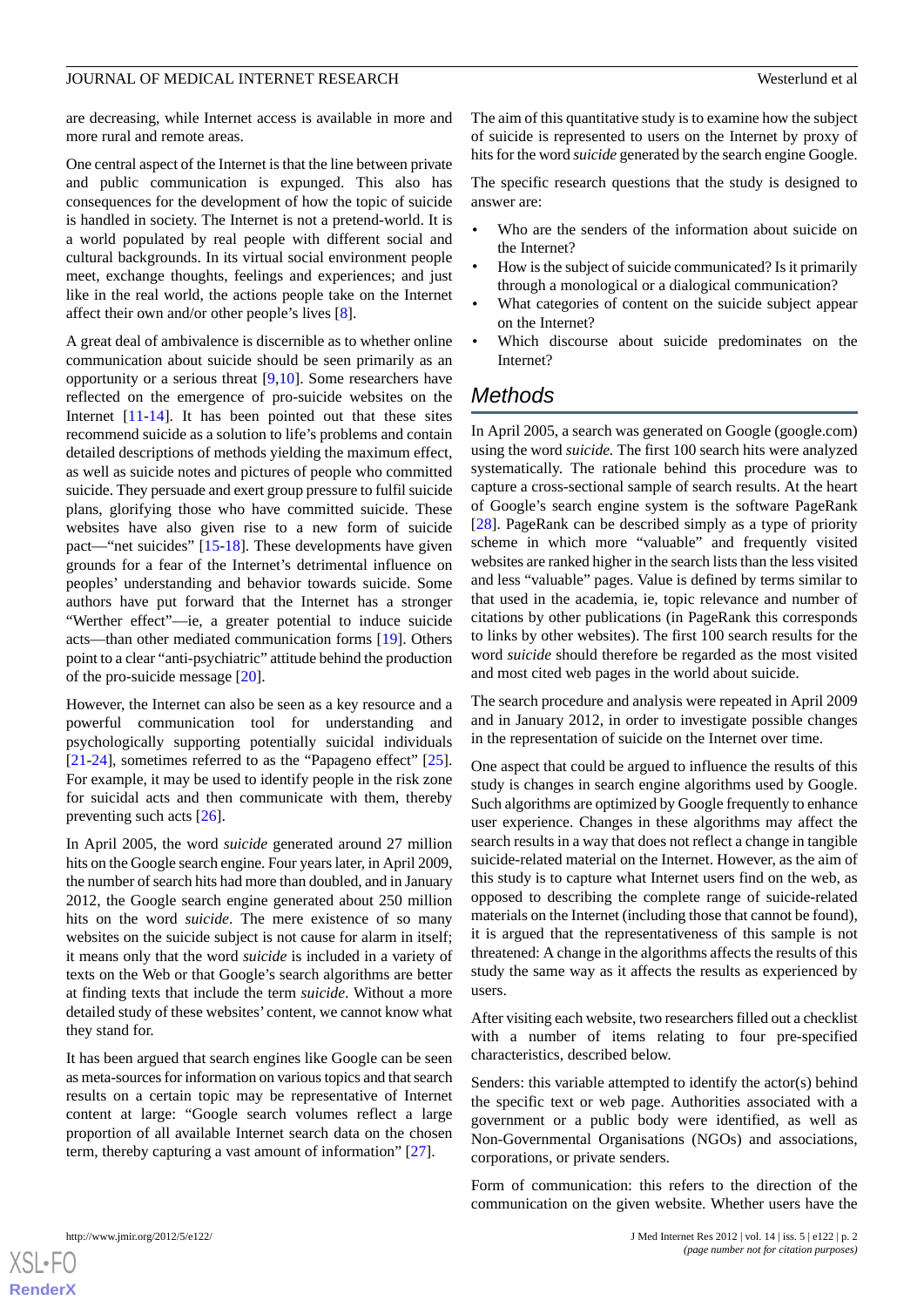are decreasing, while Internet access is available in more and more rural and remote areas.

One central aspect of the Internet is that the line between private and public communication is expunged. This also has consequences for the development of how the topic of suicide is handled in society. The Internet is not a pretend-world. It is a world populated by real people with different social and cultural backgrounds. In its virtual social environment people meet, exchange thoughts, feelings and experiences; and just like in the real world, the actions people take on the Internet affect their own and/or other people's lives [\[8](#page-5-7)].

A great deal of ambivalence is discernible as to whether online communication about suicide should be seen primarily as an opportunity or a serious threat [\[9](#page-5-8),[10\]](#page-5-9). Some researchers have reflected on the emergence of pro-suicide websites on the Internet [[11-](#page-5-10)[14\]](#page-5-11). It has been pointed out that these sites recommend suicide as a solution to life's problems and contain detailed descriptions of methods yielding the maximum effect, as well as suicide notes and pictures of people who committed suicide. They persuade and exert group pressure to fulfil suicide plans, glorifying those who have committed suicide. These websites have also given rise to a new form of suicide pact—"net suicides" [[15-](#page-5-12)[18\]](#page-6-0). These developments have given grounds for a fear of the Internet's detrimental influence on peoples' understanding and behavior towards suicide. Some authors have put forward that the Internet has a stronger "Werther effect"—ie, a greater potential to induce suicide acts—than other mediated communication forms [\[19](#page-6-1)]. Others point to a clear "anti-psychiatric" attitude behind the production of the pro-suicide message [\[20](#page-6-2)].

However, the Internet can also be seen as a key resource and a powerful communication tool for understanding and psychologically supporting potentially suicidal individuals [[21](#page-6-3)[-24](#page-6-4)], sometimes referred to as the "Papageno effect" [[25\]](#page-6-5). For example, it may be used to identify people in the risk zone for suicidal acts and then communicate with them, thereby preventing such acts [[26\]](#page-6-6).

In April 2005, the word *suicide* generated around 27 million hits on the Google search engine. Four years later, in April 2009, the number of search hits had more than doubled, and in January 2012, the Google search engine generated about 250 million hits on the word *suicide*. The mere existence of so many websites on the suicide subject is not cause for alarm in itself; it means only that the word *suicide* is included in a variety of texts on the Web or that Google's search algorithms are better at finding texts that include the term *suicide*. Without a more detailed study of these websites' content, we cannot know what they stand for.

It has been argued that search engines like Google can be seen as meta-sources for information on various topics and that search results on a certain topic may be representative of Internet content at large: "Google search volumes reflect a large proportion of all available Internet search data on the chosen term, thereby capturing a vast amount of information" [[27\]](#page-6-7).

The aim of this quantitative study is to examine how the subject of suicide is represented to users on the Internet by proxy of hits for the word *suicide* generated by the search engine Google.

The specific research questions that the study is designed to answer are:

- Who are the senders of the information about suicide on the Internet?
- How is the subject of suicide communicated? Is it primarily through a monological or a dialogical communication?
- What categories of content on the suicide subject appear on the Internet?
- Which discourse about suicide predominates on the Internet?

# *Methods*

In April 2005, a search was generated on Google (google.com) using the word *suicide.* The first 100 search hits were analyzed systematically. The rationale behind this procedure was to capture a cross-sectional sample of search results. At the heart of Google's search engine system is the software PageRank [[28\]](#page-6-8). PageRank can be described simply as a type of priority scheme in which more "valuable" and frequently visited websites are ranked higher in the search lists than the less visited and less "valuable" pages. Value is defined by terms similar to that used in the academia, ie, topic relevance and number of citations by other publications (in PageRank this corresponds to links by other websites). The first 100 search results for the word *suicide* should therefore be regarded as the most visited and most cited web pages in the world about suicide.

The search procedure and analysis were repeated in April 2009 and in January 2012, in order to investigate possible changes in the representation of suicide on the Internet over time.

One aspect that could be argued to influence the results of this study is changes in search engine algorithms used by Google. Such algorithms are optimized by Google frequently to enhance user experience. Changes in these algorithms may affect the search results in a way that does not reflect a change in tangible suicide-related material on the Internet. However, as the aim of this study is to capture what Internet users find on the web, as opposed to describing the complete range of suicide-related materials on the Internet (including those that cannot be found), it is argued that the representativeness of this sample is not threatened: A change in the algorithms affects the results of this study the same way as it affects the results as experienced by users.

After visiting each website, two researchers filled out a checklist with a number of items relating to four pre-specified characteristics, described below.

Senders: this variable attempted to identify the actor(s) behind the specific text or web page. Authorities associated with a government or a public body were identified, as well as Non-Governmental Organisations (NGOs) and associations, corporations, or private senders.

Form of communication: this refers to the direction of the communication on the given website. Whether users have the

```
XS-FO
RenderX
```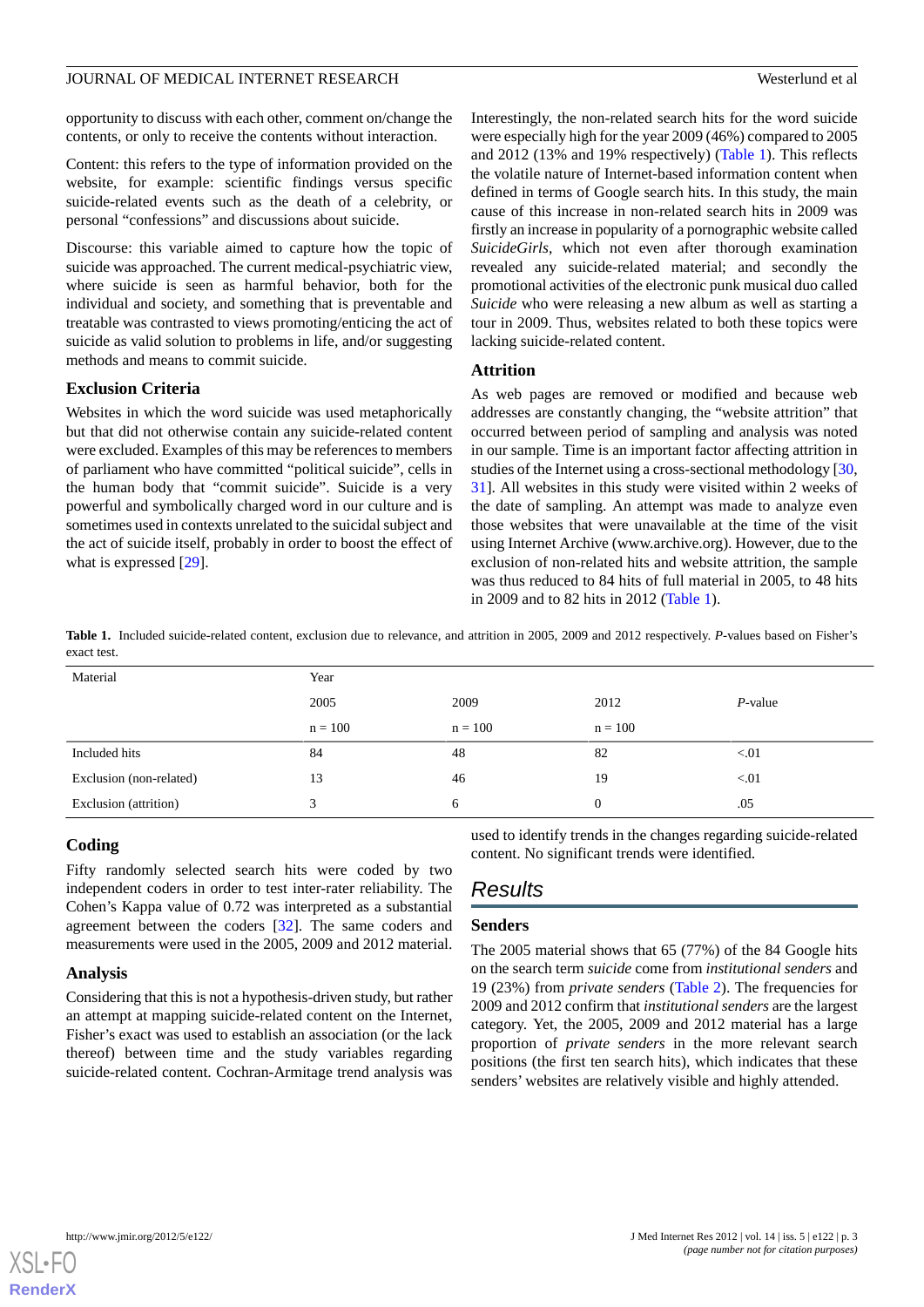opportunity to discuss with each other, comment on/change the contents, or only to receive the contents without interaction.

Content: this refers to the type of information provided on the website, for example: scientific findings versus specific suicide-related events such as the death of a celebrity, or personal "confessions" and discussions about suicide.

Discourse: this variable aimed to capture how the topic of suicide was approached. The current medical-psychiatric view, where suicide is seen as harmful behavior, both for the individual and society, and something that is preventable and treatable was contrasted to views promoting/enticing the act of suicide as valid solution to problems in life, and/or suggesting methods and means to commit suicide.

### **Exclusion Criteria**

Websites in which the word suicide was used metaphorically but that did not otherwise contain any suicide-related content were excluded. Examples of this may be references to members of parliament who have committed "political suicide", cells in the human body that "commit suicide". Suicide is a very powerful and symbolically charged word in our culture and is sometimes used in contexts unrelated to the suicidal subject and the act of suicide itself, probably in order to boost the effect of what is expressed [[29\]](#page-6-9).

Interestingly, the non-related search hits for the word suicide were especially high for the year 2009 (46%) compared to 2005 and 2012 (13% and 19% respectively) [\(Table 1](#page-2-0)). This reflects the volatile nature of Internet-based information content when defined in terms of Google search hits. In this study, the main cause of this increase in non-related search hits in 2009 was firstly an increase in popularity of a pornographic website called *SuicideGirls*, which not even after thorough examination revealed any suicide-related material; and secondly the promotional activities of the electronic punk musical duo called *Suicide* who were releasing a new album as well as starting a tour in 2009. Thus, websites related to both these topics were lacking suicide-related content.

#### **Attrition**

As web pages are removed or modified and because web addresses are constantly changing, the "website attrition" that occurred between period of sampling and analysis was noted in our sample. Time is an important factor affecting attrition in studies of the Internet using a cross-sectional methodology [\[30](#page-6-10), [31\]](#page-6-11). All websites in this study were visited within 2 weeks of the date of sampling. An attempt was made to analyze even those websites that were unavailable at the time of the visit using Internet Archive (www.archive.org). However, due to the exclusion of non-related hits and website attrition, the sample was thus reduced to 84 hits of full material in 2005, to 48 hits in 2009 and to 82 hits in 2012 [\(Table 1\)](#page-2-0).

<span id="page-2-0"></span>**Table 1.** Included suicide-related content, exclusion due to relevance, and attrition in 2005, 2009 and 2012 respectively. *P*-values based on Fisher's exact test.

| Material                | Year      |           |           |            |
|-------------------------|-----------|-----------|-----------|------------|
|                         | 2005      | 2009      | 2012      | $P$ -value |
|                         | $n = 100$ | $n = 100$ | $n = 100$ |            |
| Included hits           | 84        | 48        | 82        | < 01       |
| Exclusion (non-related) | 13        | 46        | 19        | < 01       |
| Exclusion (attrition)   | 3         | 6         | $\Omega$  | .05        |

# **Coding**

Fifty randomly selected search hits were coded by two independent coders in order to test inter-rater reliability. The Cohen's Kappa value of 0.72 was interpreted as a substantial agreement between the coders [\[32](#page-6-12)]. The same coders and measurements were used in the 2005, 2009 and 2012 material.

#### **Analysis**

Considering that this is not a hypothesis-driven study, but rather an attempt at mapping suicide-related content on the Internet, Fisher's exact was used to establish an association (or the lack thereof) between time and the study variables regarding suicide-related content. Cochran-Armitage trend analysis was

# *Results*

# **Senders**

The 2005 material shows that 65 (77%) of the 84 Google hits on the search term *suicide* come from *institutional senders* and 19 (23%) from *private senders* ([Table 2\)](#page-3-0). The frequencies for 2009 and 2012 confirm that *institutional senders* are the largest category. Yet, the 2005, 2009 and 2012 material has a large proportion of *private senders* in the more relevant search positions (the first ten search hits), which indicates that these senders' websites are relatively visible and highly attended.

used to identify trends in the changes regarding suicide-related

content. No significant trends were identified.

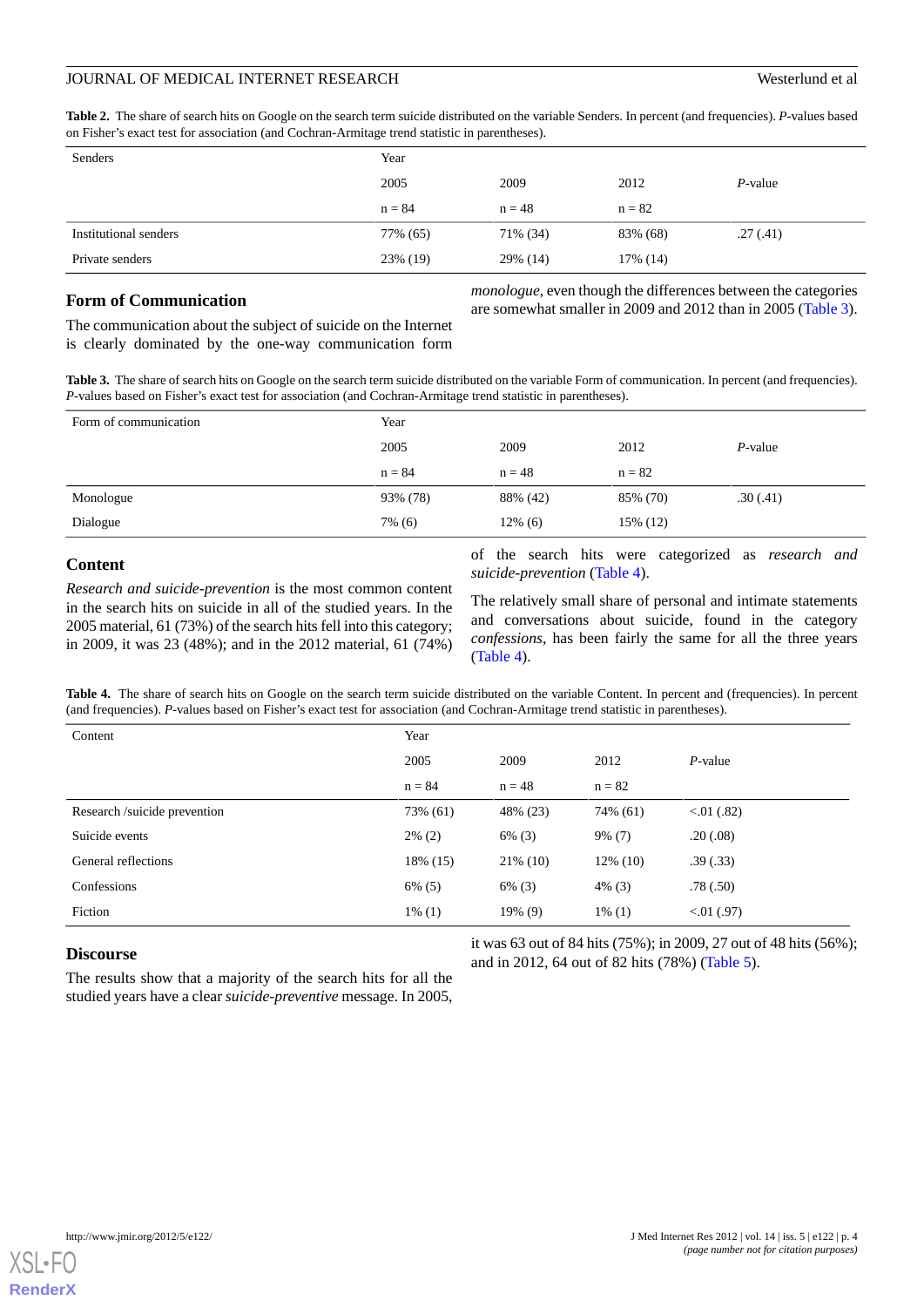<span id="page-3-0"></span>**Table 2.** The share of search hits on Google on the search term suicide distributed on the variable Senders. In percent (and frequencies). *P*-values based on Fisher's exact test for association (and Cochran-Armitage trend statistic in parentheses).

| Senders               | Year     |          |          |            |
|-----------------------|----------|----------|----------|------------|
|                       | 2005     | 2009     | 2012     | $P$ -value |
|                       | $n = 84$ | $n = 48$ | $n = 82$ |            |
| Institutional senders | 77% (65) | 71% (34) | 83% (68) | .27(.41)   |
| Private senders       | 23% (19) | 29% (14) | 17% (14) |            |

# **Form of Communication**

*monologue*, even though the differences between the categories are somewhat smaller in 2009 and 2012 than in 2005 ([Table 3\)](#page-3-1).

<span id="page-3-1"></span>The communication about the subject of suicide on the Internet is clearly dominated by the one-way communication form

**Table 3.** The share of search hits on Google on the search term suicide distributed on the variable Form of communication. In percent (and frequencies). *P*-values based on Fisher's exact test for association (and Cochran-Armitage trend statistic in parentheses).

| Form of communication | Year     |            |          |            |
|-----------------------|----------|------------|----------|------------|
|                       | 2005     | 2009       | 2012     | $P$ -value |
|                       | $n = 84$ | $n = 48$   | $n = 82$ |            |
| Monologue             | 93% (78) | 88% (42)   | 85% (70) | .30(.41)   |
| Dialogue              | 7% (6)   | $12\%$ (6) | 15% (12) |            |

# **Content**

<span id="page-3-2"></span>*Research and suicide-prevention* is the most common content in the search hits on suicide in all of the studied years. In the 2005 material, 61 (73%) of the search hits fell into this category; in 2009, it was 23 (48%); and in the 2012 material, 61 (74%)

of the search hits were categorized as *research and suicide-prevention* [\(Table 4\)](#page-3-2).

The relatively small share of personal and intimate statements and conversations about suicide, found in the category *confessions*, has been fairly the same for all the three years ([Table 4](#page-3-2)).

Table 4. The share of search hits on Google on the search term suicide distributed on the variable Content. In percent and (frequencies). In percent (and frequencies). *P*-values based on Fisher's exact test for association (and Cochran-Armitage trend statistic in parentheses).

| Content                     | Year      |             |             |              |
|-----------------------------|-----------|-------------|-------------|--------------|
|                             | 2005      | 2009        | 2012        | $P$ -value   |
|                             | $n = 84$  | $n = 48$    | $n = 82$    |              |
| Research/suicide prevention | 73% (61)  | 48% (23)    | 74% (61)    | 0.01(0.82)   |
| Suicide events              | $2\%$ (2) | $6\%$ (3)   | $9\%$ (7)   | .20(.08)     |
| General reflections         | 18% (15)  | $21\%$ (10) | $12\%$ (10) | .39(.33)     |
| Confessions                 | $6\%$ (5) | $6\%$ (3)   | $4\%$ (3)   | .78(.50)     |
| Fiction                     | $1\%$ (1) | 19% (9)     | $1\%$ (1)   | $< 01$ (.97) |

# **Discourse**

it was 63 out of 84 hits (75%); in 2009, 27 out of 48 hits (56%); and in 2012, 64 out of 82 hits (78%) ([Table 5](#page-4-0)).

The results show that a majority of the search hits for all the studied years have a clear *suicide-preventive* message. In 2005,

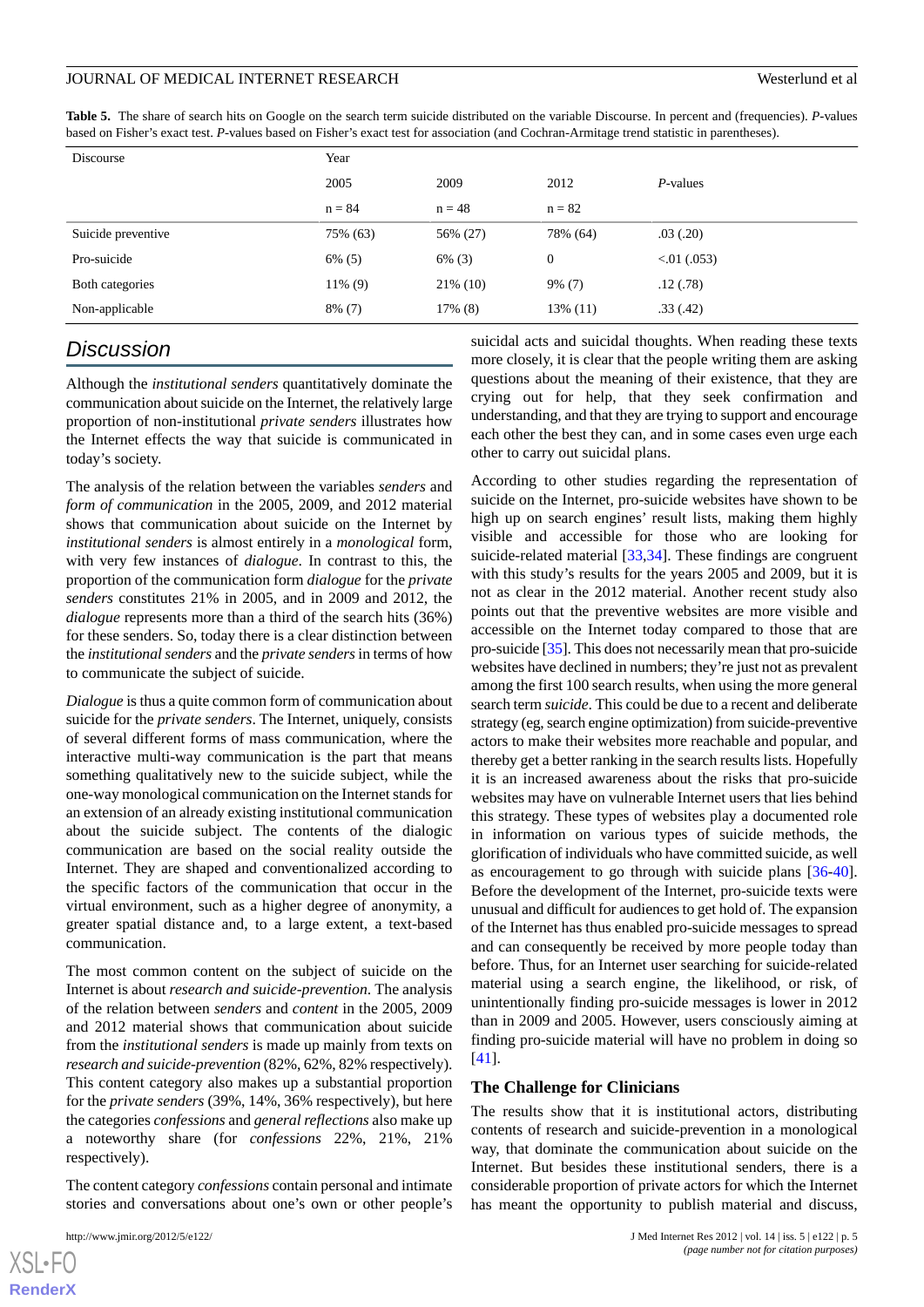<span id="page-4-0"></span>**Table 5.** The share of search hits on Google on the search term suicide distributed on the variable Discourse. In percent and (frequencies). *P*-values based on Fisher's exact test. *P*-values based on Fisher's exact test for association (and Cochran-Armitage trend statistic in parentheses).

| Discourse          | Year      |             |                  |             |  |
|--------------------|-----------|-------------|------------------|-------------|--|
|                    | 2005      | 2009        | 2012             | P-values    |  |
|                    | $n = 84$  | $n = 48$    | $n = 82$         |             |  |
| Suicide preventive | 75% (63)  | 56% (27)    | 78% (64)         | .03(.20)    |  |
| Pro-suicide        | $6\%$ (5) | $6\%$ (3)   | $\boldsymbol{0}$ | 0.01(0.053) |  |
| Both categories    | 11% (9)   | $21\%$ (10) | $9\%$ (7)        | .12(.78)    |  |
| Non-applicable     | $8\%$ (7) | 17% (8)     | 13% (11)         | .33(.42)    |  |

# *Discussion*

Although the *institutional senders* quantitatively dominate the communication about suicide on the Internet, the relatively large proportion of non-institutional *private senders* illustrates how the Internet effects the way that suicide is communicated in today's society.

The analysis of the relation between the variables *senders* and *form of communication* in the 2005, 2009, and 2012 material shows that communication about suicide on the Internet by *institutional senders* is almost entirely in a *monological* form, with very few instances of *dialogue*. In contrast to this, the proportion of the communication form *dialogue* for the *private senders* constitutes 21% in 2005, and in 2009 and 2012, the *dialogue* represents more than a third of the search hits (36%) for these senders. So, today there is a clear distinction between the *institutional senders* and the *private senders* in terms of how to communicate the subject of suicide.

*Dialogue* is thus a quite common form of communication about suicide for the *private senders*. The Internet, uniquely, consists of several different forms of mass communication, where the interactive multi-way communication is the part that means something qualitatively new to the suicide subject, while the one-way monological communication on the Internet stands for an extension of an already existing institutional communication about the suicide subject. The contents of the dialogic communication are based on the social reality outside the Internet. They are shaped and conventionalized according to the specific factors of the communication that occur in the virtual environment, such as a higher degree of anonymity, a greater spatial distance and, to a large extent, a text-based communication.

The most common content on the subject of suicide on the Internet is about *research and suicide-prevention*. The analysis of the relation between *senders* and *content* in the 2005, 2009 and 2012 material shows that communication about suicide from the *institutional senders* is made up mainly from texts on *research and suicide-prevention* (82%, 62%, 82% respectively). This content category also makes up a substantial proportion for the *private senders* (39%, 14%, 36% respectively), but here the categories *confessions* and *general reflections* also make up a noteworthy share (for *confessions* 22%, 21%, 21% respectively).

The content category *confessions* contain personal and intimate stories and conversations about one's own or other people's

suicidal acts and suicidal thoughts. When reading these texts more closely, it is clear that the people writing them are asking questions about the meaning of their existence, that they are crying out for help, that they seek confirmation and understanding, and that they are trying to support and encourage each other the best they can, and in some cases even urge each other to carry out suicidal plans.

According to other studies regarding the representation of suicide on the Internet, pro-suicide websites have shown to be high up on search engines' result lists, making them highly visible and accessible for those who are looking for suicide-related material [\[33](#page-6-13),[34\]](#page-6-14). These findings are congruent with this study's results for the years 2005 and 2009, but it is not as clear in the 2012 material. Another recent study also points out that the preventive websites are more visible and accessible on the Internet today compared to those that are pro-suicide [[35](#page-6-15)]. This does not necessarily mean that pro-suicide websites have declined in numbers; they're just not as prevalent among the first 100 search results, when using the more general search term *suicide*. This could be due to a recent and deliberate strategy (eg, search engine optimization) from suicide-preventive actors to make their websites more reachable and popular, and thereby get a better ranking in the search results lists. Hopefully it is an increased awareness about the risks that pro-suicide websites may have on vulnerable Internet users that lies behind this strategy. These types of websites play a documented role in information on various types of suicide methods, the glorification of individuals who have committed suicide, as well as encouragement to go through with suicide plans [[36-](#page-6-16)[40\]](#page-6-17). Before the development of the Internet, pro-suicide texts were unusual and difficult for audiences to get hold of. The expansion of the Internet has thus enabled pro-suicide messages to spread and can consequently be received by more people today than before. Thus, for an Internet user searching for suicide-related material using a search engine, the likelihood, or risk, of unintentionally finding pro-suicide messages is lower in 2012 than in 2009 and 2005. However, users consciously aiming at finding pro-suicide material will have no problem in doing so [[41\]](#page-6-18).

#### **The Challenge for Clinicians**

The results show that it is institutional actors, distributing contents of research and suicide-prevention in a monological way, that dominate the communication about suicide on the Internet. But besides these institutional senders, there is a considerable proportion of private actors for which the Internet has meant the opportunity to publish material and discuss,

```
XSL•FO
RenderX
```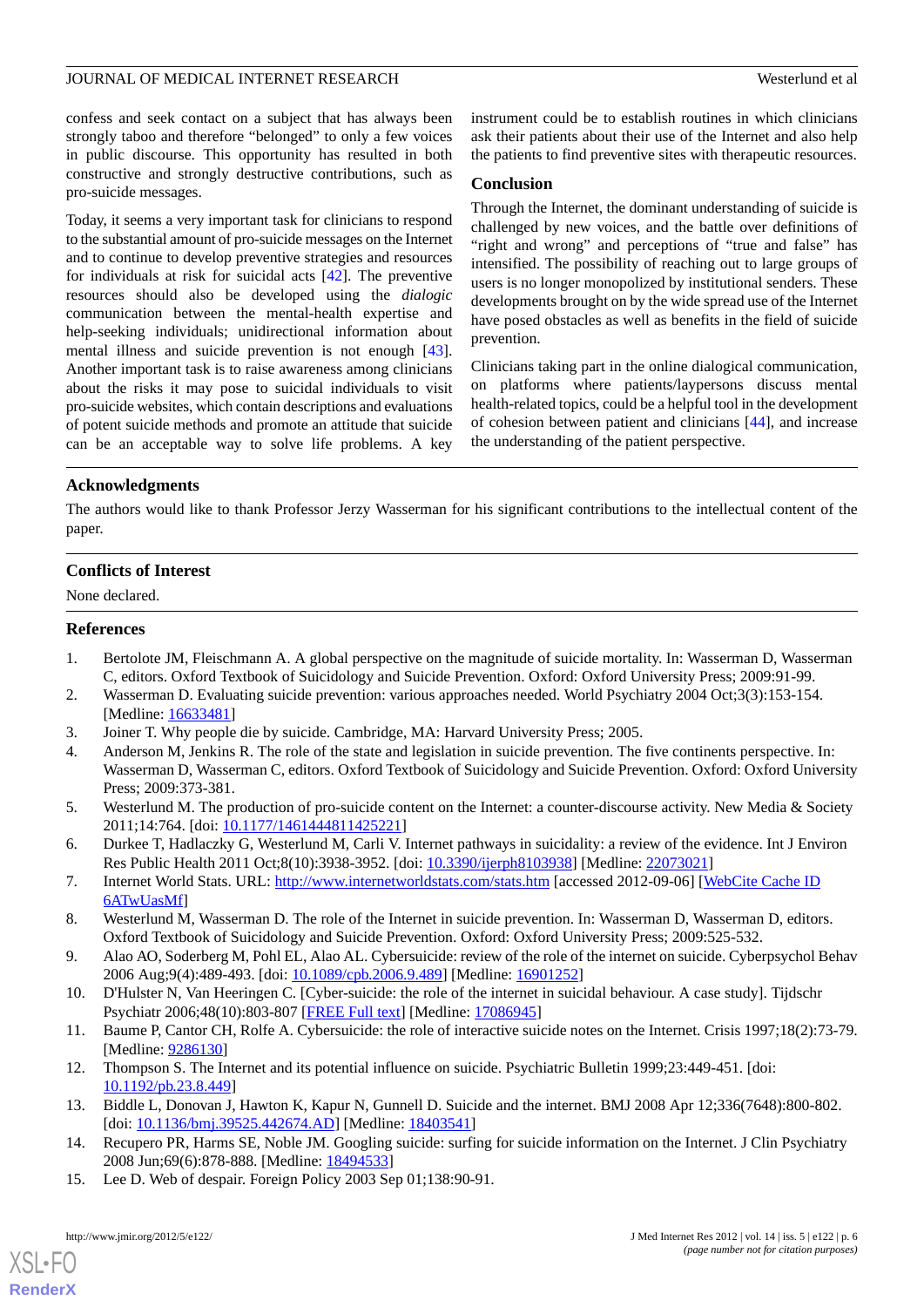confess and seek contact on a subject that has always been strongly taboo and therefore "belonged" to only a few voices in public discourse. This opportunity has resulted in both constructive and strongly destructive contributions, such as pro-suicide messages.

Today, it seems a very important task for clinicians to respond to the substantial amount of pro-suicide messages on the Internet and to continue to develop preventive strategies and resources for individuals at risk for suicidal acts [[42\]](#page-6-19). The preventive resources should also be developed using the *dialogic* communication between the mental-health expertise and help-seeking individuals; unidirectional information about mental illness and suicide prevention is not enough [[43\]](#page-6-20). Another important task is to raise awareness among clinicians about the risks it may pose to suicidal individuals to visit pro-suicide websites, which contain descriptions and evaluations of potent suicide methods and promote an attitude that suicide can be an acceptable way to solve life problems. A key

instrument could be to establish routines in which clinicians ask their patients about their use of the Internet and also help the patients to find preventive sites with therapeutic resources.

### **Conclusion**

Through the Internet, the dominant understanding of suicide is challenged by new voices, and the battle over definitions of "right and wrong" and perceptions of "true and false" has intensified. The possibility of reaching out to large groups of users is no longer monopolized by institutional senders. These developments brought on by the wide spread use of the Internet have posed obstacles as well as benefits in the field of suicide prevention.

Clinicians taking part in the online dialogical communication, on platforms where patients/laypersons discuss mental health-related topics, could be a helpful tool in the development of cohesion between patient and clinicians [\[44](#page-6-21)], and increase the understanding of the patient perspective.

# **Acknowledgments**

The authors would like to thank Professor Jerzy Wasserman for his significant contributions to the intellectual content of the paper.

# **Conflicts of Interest**

<span id="page-5-0"></span>None declared.

#### <span id="page-5-1"></span>**References**

- <span id="page-5-3"></span><span id="page-5-2"></span>1. Bertolote JM, Fleischmann A. A global perspective on the magnitude of suicide mortality. In: Wasserman D, Wasserman C, editors. Oxford Textbook of Suicidology and Suicide Prevention. Oxford: Oxford University Press; 2009:91-99.
- 2. Wasserman D. Evaluating suicide prevention: various approaches needed. World Psychiatry 2004 Oct;3(3):153-154. [Medline: [16633481](http://www.ncbi.nlm.nih.gov/entrez/query.fcgi?cmd=Retrieve&db=PubMed&list_uids=16633481&dopt=Abstract)]
- <span id="page-5-4"></span>3. Joiner T. Why people die by suicide. Cambridge, MA: Harvard University Press; 2005.
- <span id="page-5-5"></span>4. Anderson M, Jenkins R. The role of the state and legislation in suicide prevention. The five continents perspective. In: Wasserman D, Wasserman C, editors. Oxford Textbook of Suicidology and Suicide Prevention. Oxford: Oxford University Press; 2009:373-381.
- <span id="page-5-6"></span>5. Westerlund M. The production of pro-suicide content on the Internet: a counter-discourse activity. New Media & Society 2011;14:764. [doi: [10.1177/1461444811425221\]](http://dx.doi.org/10.1177/1461444811425221)
- <span id="page-5-8"></span><span id="page-5-7"></span>6. Durkee T, Hadlaczky G, Westerlund M, Carli V. Internet pathways in suicidality: a review of the evidence. Int J Environ Res Public Health 2011 Oct;8(10):3938-3952. [doi: [10.3390/ijerph8103938\]](http://dx.doi.org/10.3390/ijerph8103938) [Medline: [22073021](http://www.ncbi.nlm.nih.gov/entrez/query.fcgi?cmd=Retrieve&db=PubMed&list_uids=22073021&dopt=Abstract)]
- <span id="page-5-9"></span>7. Internet World Stats. URL:<http://www.internetworldstats.com/stats.htm> [accessed 2012-09-06] [[WebCite Cache ID](http://www.webcitation.org/

                                                6ATwUasMf) [6ATwUasMf\]](http://www.webcitation.org/

                                                6ATwUasMf)
- <span id="page-5-10"></span>8. Westerlund M, Wasserman D. The role of the Internet in suicide prevention. In: Wasserman D, Wasserman D, editors. Oxford Textbook of Suicidology and Suicide Prevention. Oxford: Oxford University Press; 2009:525-532.
- 9. Alao AO, Soderberg M, Pohl EL, Alao AL. Cybersuicide: review of the role of the internet on suicide. Cyberpsychol Behav 2006 Aug;9(4):489-493. [doi: [10.1089/cpb.2006.9.489](http://dx.doi.org/10.1089/cpb.2006.9.489)] [Medline: [16901252\]](http://www.ncbi.nlm.nih.gov/entrez/query.fcgi?cmd=Retrieve&db=PubMed&list_uids=16901252&dopt=Abstract)
- 10. D'Hulster N, Van Heeringen C. [Cyber-suicide: the role of the internet in suicidal behaviour. A case study]. Tijdschr Psychiatr 2006;48(10):803-807 [[FREE Full text](http://www.tijdschriftvoorpsychiatrie.nl/en/tijdschrift/artikel.php?vol=48&issue=10&page=803)] [Medline: [17086945\]](http://www.ncbi.nlm.nih.gov/entrez/query.fcgi?cmd=Retrieve&db=PubMed&list_uids=17086945&dopt=Abstract)
- <span id="page-5-11"></span>11. Baume P, Cantor CH, Rolfe A. Cybersuicide: the role of interactive suicide notes on the Internet. Crisis 1997;18(2):73-79. [Medline: [9286130\]](http://www.ncbi.nlm.nih.gov/entrez/query.fcgi?cmd=Retrieve&db=PubMed&list_uids=9286130&dopt=Abstract)
- <span id="page-5-12"></span>12. Thompson S. The Internet and its potential influence on suicide. Psychiatric Bulletin 1999;23:449-451. [doi: [10.1192/pb.23.8.449\]](http://dx.doi.org/10.1192/pb.23.8.449)
- 13. Biddle L, Donovan J, Hawton K, Kapur N, Gunnell D. Suicide and the internet. BMJ 2008 Apr 12;336(7648):800-802. [doi: [10.1136/bmj.39525.442674.AD\]](http://dx.doi.org/10.1136/bmj.39525.442674.AD) [Medline: [18403541\]](http://www.ncbi.nlm.nih.gov/entrez/query.fcgi?cmd=Retrieve&db=PubMed&list_uids=18403541&dopt=Abstract)
- 14. Recupero PR, Harms SE, Noble JM. Googling suicide: surfing for suicide information on the Internet. J Clin Psychiatry 2008 Jun;69(6):878-888. [Medline: [18494533](http://www.ncbi.nlm.nih.gov/entrez/query.fcgi?cmd=Retrieve&db=PubMed&list_uids=18494533&dopt=Abstract)]
- 15. Lee D. Web of despair. Foreign Policy 2003 Sep 01;138:90-91.

[XSL](http://www.w3.org/Style/XSL)•FO **[RenderX](http://www.renderx.com/)**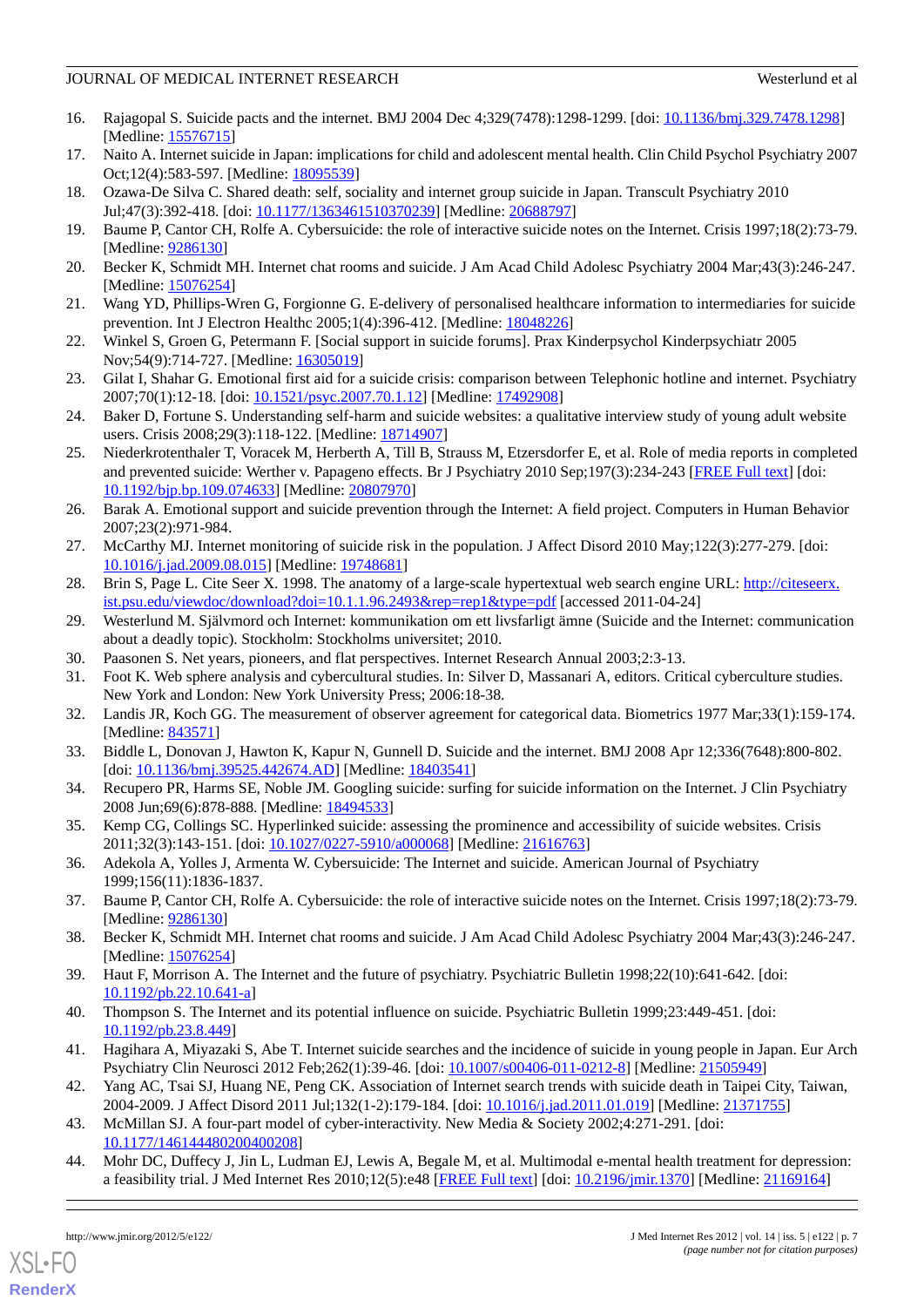- 16. Rajagopal S. Suicide pacts and the internet. BMJ 2004 Dec 4;329(7478):1298-1299. [doi: [10.1136/bmj.329.7478.1298](http://dx.doi.org/10.1136/bmj.329.7478.1298)] [Medline: [15576715](http://www.ncbi.nlm.nih.gov/entrez/query.fcgi?cmd=Retrieve&db=PubMed&list_uids=15576715&dopt=Abstract)]
- <span id="page-6-0"></span>17. Naito A. Internet suicide in Japan: implications for child and adolescent mental health. Clin Child Psychol Psychiatry 2007 Oct;12(4):583-597. [Medline: [18095539](http://www.ncbi.nlm.nih.gov/entrez/query.fcgi?cmd=Retrieve&db=PubMed&list_uids=18095539&dopt=Abstract)]
- <span id="page-6-1"></span>18. Ozawa-De Silva C. Shared death: self, sociality and internet group suicide in Japan. Transcult Psychiatry 2010 Jul;47(3):392-418. [doi: [10.1177/1363461510370239](http://dx.doi.org/10.1177/1363461510370239)] [Medline: [20688797](http://www.ncbi.nlm.nih.gov/entrez/query.fcgi?cmd=Retrieve&db=PubMed&list_uids=20688797&dopt=Abstract)]
- <span id="page-6-2"></span>19. Baume P, Cantor CH, Rolfe A. Cybersuicide: the role of interactive suicide notes on the Internet. Crisis 1997;18(2):73-79. [Medline: [9286130\]](http://www.ncbi.nlm.nih.gov/entrez/query.fcgi?cmd=Retrieve&db=PubMed&list_uids=9286130&dopt=Abstract)
- <span id="page-6-3"></span>20. Becker K, Schmidt MH. Internet chat rooms and suicide. J Am Acad Child Adolesc Psychiatry 2004 Mar;43(3):246-247. [Medline: [15076254](http://www.ncbi.nlm.nih.gov/entrez/query.fcgi?cmd=Retrieve&db=PubMed&list_uids=15076254&dopt=Abstract)]
- 21. Wang YD, Phillips-Wren G, Forgionne G. E-delivery of personalised healthcare information to intermediaries for suicide prevention. Int J Electron Healthc 2005;1(4):396-412. [Medline: [18048226](http://www.ncbi.nlm.nih.gov/entrez/query.fcgi?cmd=Retrieve&db=PubMed&list_uids=18048226&dopt=Abstract)]
- 22. Winkel S, Groen G, Petermann F. [Social support in suicide forums]. Prax Kinderpsychol Kinderpsychiatr 2005 Nov; 54(9): 714-727. [Medline: [16305019](http://www.ncbi.nlm.nih.gov/entrez/query.fcgi?cmd=Retrieve&db=PubMed&list_uids=16305019&dopt=Abstract)]
- <span id="page-6-4"></span>23. Gilat I, Shahar G. Emotional first aid for a suicide crisis: comparison between Telephonic hotline and internet. Psychiatry 2007;70(1):12-18. [doi: [10.1521/psyc.2007.70.1.12](http://dx.doi.org/10.1521/psyc.2007.70.1.12)] [Medline: [17492908\]](http://www.ncbi.nlm.nih.gov/entrez/query.fcgi?cmd=Retrieve&db=PubMed&list_uids=17492908&dopt=Abstract)
- <span id="page-6-5"></span>24. Baker D, Fortune S. Understanding self-harm and suicide websites: a qualitative interview study of young adult website users. Crisis 2008;29(3):118-122. [Medline: [18714907](http://www.ncbi.nlm.nih.gov/entrez/query.fcgi?cmd=Retrieve&db=PubMed&list_uids=18714907&dopt=Abstract)]
- <span id="page-6-6"></span>25. Niederkrotenthaler T, Voracek M, Herberth A, Till B, Strauss M, Etzersdorfer E, et al. Role of media reports in completed and prevented suicide: Werther v. Papageno effects. Br J Psychiatry 2010 Sep;197(3):234-243 [[FREE Full text\]](http://bjp.rcpsych.org/cgi/pmidlookup?view=long&pmid=20807970) [doi: [10.1192/bjp.bp.109.074633](http://dx.doi.org/10.1192/bjp.bp.109.074633)] [Medline: [20807970\]](http://www.ncbi.nlm.nih.gov/entrez/query.fcgi?cmd=Retrieve&db=PubMed&list_uids=20807970&dopt=Abstract)
- <span id="page-6-8"></span><span id="page-6-7"></span>26. Barak A. Emotional support and suicide prevention through the Internet: A field project. Computers in Human Behavior 2007;23(2):971-984.
- <span id="page-6-9"></span>27. McCarthy MJ. Internet monitoring of suicide risk in the population. J Affect Disord 2010 May;122(3):277-279. [doi: [10.1016/j.jad.2009.08.015\]](http://dx.doi.org/10.1016/j.jad.2009.08.015) [Medline: [19748681\]](http://www.ncbi.nlm.nih.gov/entrez/query.fcgi?cmd=Retrieve&db=PubMed&list_uids=19748681&dopt=Abstract)
- <span id="page-6-10"></span>28. Brin S, Page L. Cite Seer X. 1998. The anatomy of a large-scale hypertextual web search engine URL: [http://citeseerx.](http://citeseerx.ist.psu.edu/viewdoc/download?doi=10.1.1.96.2493&rep=rep1&type=pdf) [ist.psu.edu/viewdoc/download?doi=10.1.1.96.2493&rep=rep1&type=pdf](http://citeseerx.ist.psu.edu/viewdoc/download?doi=10.1.1.96.2493&rep=rep1&type=pdf) [accessed 2011-04-24]
- <span id="page-6-11"></span>29. Westerlund M. Självmord och Internet: kommunikation om ett livsfarligt ämne (Suicide and the Internet: communication about a deadly topic). Stockholm: Stockholms universitet; 2010.
- <span id="page-6-12"></span>30. Paasonen S. Net years, pioneers, and flat perspectives. Internet Research Annual 2003;2:3-13.
- <span id="page-6-13"></span>31. Foot K. Web sphere analysis and cybercultural studies. In: Silver D, Massanari A, editors. Critical cyberculture studies. New York and London: New York University Press; 2006:18-38.
- <span id="page-6-14"></span>32. Landis JR, Koch GG. The measurement of observer agreement for categorical data. Biometrics 1977 Mar;33(1):159-174. [Medline: [843571](http://www.ncbi.nlm.nih.gov/entrez/query.fcgi?cmd=Retrieve&db=PubMed&list_uids=843571&dopt=Abstract)]
- <span id="page-6-15"></span>33. Biddle L, Donovan J, Hawton K, Kapur N, Gunnell D. Suicide and the internet. BMJ 2008 Apr 12;336(7648):800-802. [doi: [10.1136/bmj.39525.442674.AD\]](http://dx.doi.org/10.1136/bmj.39525.442674.AD) [Medline: [18403541\]](http://www.ncbi.nlm.nih.gov/entrez/query.fcgi?cmd=Retrieve&db=PubMed&list_uids=18403541&dopt=Abstract)
- <span id="page-6-16"></span>34. Recupero PR, Harms SE, Noble JM. Googling suicide: surfing for suicide information on the Internet. J Clin Psychiatry 2008 Jun;69(6):878-888. [Medline: [18494533](http://www.ncbi.nlm.nih.gov/entrez/query.fcgi?cmd=Retrieve&db=PubMed&list_uids=18494533&dopt=Abstract)]
- 35. Kemp CG, Collings SC. Hyperlinked suicide: assessing the prominence and accessibility of suicide websites. Crisis 2011;32(3):143-151. [doi: [10.1027/0227-5910/a000068](http://dx.doi.org/10.1027/0227-5910/a000068)] [Medline: [21616763](http://www.ncbi.nlm.nih.gov/entrez/query.fcgi?cmd=Retrieve&db=PubMed&list_uids=21616763&dopt=Abstract)]
- 36. Adekola A, Yolles J, Armenta W. Cybersuicide: The Internet and suicide. American Journal of Psychiatry 1999;156(11):1836-1837.
- <span id="page-6-17"></span>37. Baume P, Cantor CH, Rolfe A. Cybersuicide: the role of interactive suicide notes on the Internet. Crisis 1997;18(2):73-79. [Medline: [9286130\]](http://www.ncbi.nlm.nih.gov/entrez/query.fcgi?cmd=Retrieve&db=PubMed&list_uids=9286130&dopt=Abstract)
- <span id="page-6-18"></span>38. Becker K, Schmidt MH. Internet chat rooms and suicide. J Am Acad Child Adolesc Psychiatry 2004 Mar;43(3):246-247. [Medline: [15076254](http://www.ncbi.nlm.nih.gov/entrez/query.fcgi?cmd=Retrieve&db=PubMed&list_uids=15076254&dopt=Abstract)]
- <span id="page-6-19"></span>39. Haut F, Morrison A. The Internet and the future of psychiatry. Psychiatric Bulletin 1998;22(10):641-642. [doi: [10.1192/pb.22.10.641-a\]](http://dx.doi.org/10.1192/pb.22.10.641-a)
- <span id="page-6-20"></span>40. Thompson S. The Internet and its potential influence on suicide. Psychiatric Bulletin 1999;23:449-451. [doi: [10.1192/pb.23.8.449\]](http://dx.doi.org/10.1192/pb.23.8.449)
- <span id="page-6-21"></span>41. Hagihara A, Miyazaki S, Abe T. Internet suicide searches and the incidence of suicide in young people in Japan. Eur Arch Psychiatry Clin Neurosci 2012 Feb;262(1):39-46. [doi: [10.1007/s00406-011-0212-8](http://dx.doi.org/10.1007/s00406-011-0212-8)] [Medline: [21505949\]](http://www.ncbi.nlm.nih.gov/entrez/query.fcgi?cmd=Retrieve&db=PubMed&list_uids=21505949&dopt=Abstract)
- 42. Yang AC, Tsai SJ, Huang NE, Peng CK. Association of Internet search trends with suicide death in Taipei City, Taiwan, 2004-2009. J Affect Disord 2011 Jul;132(1-2):179-184. [doi: [10.1016/j.jad.2011.01.019](http://dx.doi.org/10.1016/j.jad.2011.01.019)] [Medline: [21371755](http://www.ncbi.nlm.nih.gov/entrez/query.fcgi?cmd=Retrieve&db=PubMed&list_uids=21371755&dopt=Abstract)]
- 43. McMillan SJ. A four-part model of cyber-interactivity. New Media & Society 2002;4:271-291. [doi: [10.1177/146144480200400208\]](http://dx.doi.org/10.1177/146144480200400208)
- 44. Mohr DC, Duffecy J, Jin L, Ludman EJ, Lewis A, Begale M, et al. Multimodal e-mental health treatment for depression: a feasibility trial. J Med Internet Res 2010;12(5):e48 [[FREE Full text](http://www.jmir.org/2010/5/e48/)] [doi: [10.2196/jmir.1370](http://dx.doi.org/10.2196/jmir.1370)] [Medline: [21169164](http://www.ncbi.nlm.nih.gov/entrez/query.fcgi?cmd=Retrieve&db=PubMed&list_uids=21169164&dopt=Abstract)]

[XSL](http://www.w3.org/Style/XSL)•FO **[RenderX](http://www.renderx.com/)**